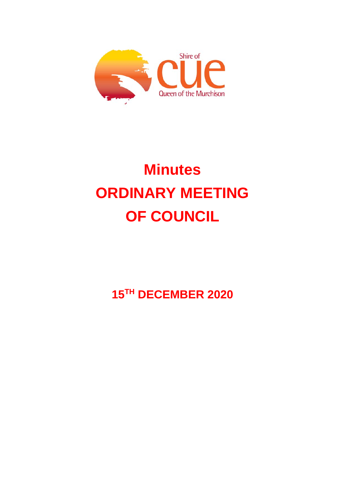

# **Minutes ORDINARY MEETING OF COUNCIL**

**15TH DECEMBER 2020**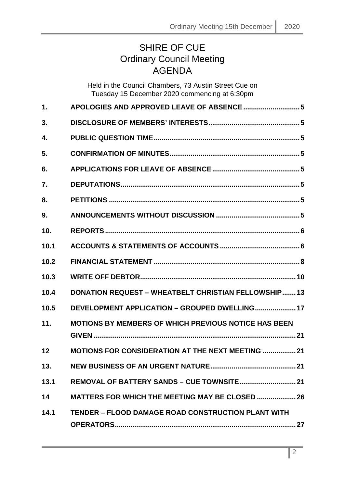# SHIRE OF CUE Ordinary Council Meeting **AGENDA**

Held in the Council Chambers, 73 Austin Street Cue on Tuesday 15 December 2020 commencing at 6:30pm

| $\mathbf 1$ . | APOLOGIES AND APPROVED LEAVE OF ABSENCE  5                  |
|---------------|-------------------------------------------------------------|
| 3.            |                                                             |
| 4.            |                                                             |
| 5.            |                                                             |
| 6.            |                                                             |
| 7.            |                                                             |
| 8.            |                                                             |
| 9.            |                                                             |
| 10.           |                                                             |
| 10.1          |                                                             |
| 10.2          |                                                             |
| 10.3          |                                                             |
| 10.4          | <b>DONATION REQUEST - WHEATBELT CHRISTIAN FELLOWSHIP13</b>  |
| 10.5          | DEVELOPMENT APPLICATION - GROUPED DWELLING 17               |
| 11.           | <b>MOTIONS BY MEMBERS OF WHICH PREVIOUS NOTICE HAS BEEN</b> |
| 12            | <b>MOTIONS FOR CONSIDERATION AT THE NEXT MEETING  21</b>    |
| 13.           |                                                             |
| 13.1          |                                                             |
| 14            | <b>MATTERS FOR WHICH THE MEETING MAY BE CLOSED  26</b>      |
| 14.1          | <b>TENDER - FLOOD DAMAGE ROAD CONSTRUCTION PLANT WITH</b>   |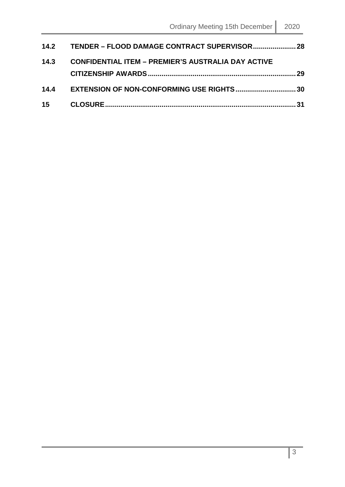|      | 14.2 TENDER – FLOOD DAMAGE CONTRACT SUPERVISOR 28         |      |
|------|-----------------------------------------------------------|------|
| 14.3 | <b>CONFIDENTIAL ITEM - PREMIER'S AUSTRALIA DAY ACTIVE</b> |      |
|      |                                                           | - 29 |
|      | 14.4 EXTENSION OF NON-CONFORMING USE RIGHTS30             |      |
|      |                                                           |      |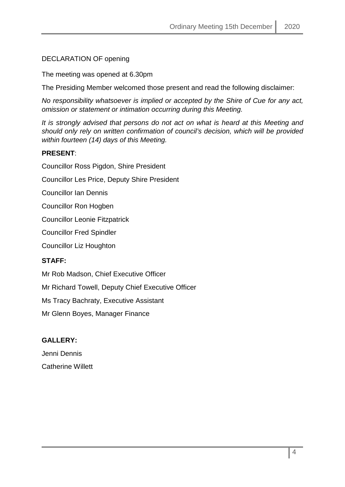# DECLARATION OF opening

The meeting was opened at 6.30pm

The Presiding Member welcomed those present and read the following disclaimer:

*No responsibility whatsoever is implied or accepted by the Shire of Cue for any act, omission or statement or intimation occurring during this Meeting.*

*It is strongly advised that persons do not act on what is heard at this Meeting and should only rely on written confirmation of council's decision, which will be provided within fourteen (14) days of this Meeting.*

# **PRESENT**:

Councillor Ross Pigdon, Shire President

Councillor Les Price, Deputy Shire President

Councillor Ian Dennis

Councillor Ron Hogben

Councillor Leonie Fitzpatrick

Councillor Fred Spindler

Councillor Liz Houghton

# **STAFF:**

Mr Rob Madson, Chief Executive Officer

Mr Richard Towell, Deputy Chief Executive Officer

Ms Tracy Bachraty, Executive Assistant

Mr Glenn Boyes, Manager Finance

# **GALLERY:**

Jenni Dennis Catherine Willett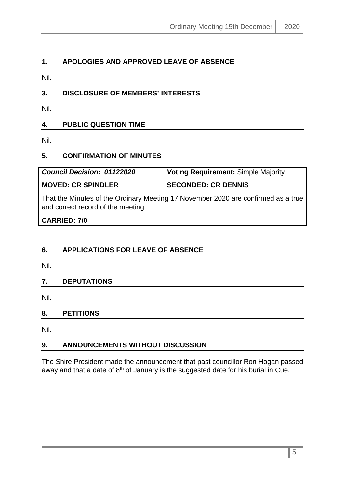# <span id="page-4-0"></span>**1. APOLOGIES AND APPROVED LEAVE OF ABSENCE**

Nil.

# <span id="page-4-1"></span>**3. DISCLOSURE OF MEMBERS' INTERESTS**

Nil.

# <span id="page-4-2"></span>**4. PUBLIC QUESTION TIME**

Nil.

# <span id="page-4-3"></span>**5. CONFIRMATION OF MINUTES**

*Council Decision: 01122020 V***oting Requirement:** Simple Majority **MOVED: CR SPINDLER SECONDED: CR DENNIS**

That the Minutes of the Ordinary Meeting 17 November 2020 are confirmed as a true and correct record of the meeting.

# **CARRIED: 7/0**

# <span id="page-4-4"></span>**6. APPLICATIONS FOR LEAVE OF ABSENCE**

Nil.

# <span id="page-4-5"></span>**7. DEPUTATIONS**

Nil.

# <span id="page-4-6"></span>**8. PETITIONS**

Nil.

# <span id="page-4-7"></span>**9. ANNOUNCEMENTS WITHOUT DISCUSSION**

The Shire President made the announcement that past councillor Ron Hogan passed away and that a date of 8<sup>th</sup> of January is the suggested date for his burial in Cue.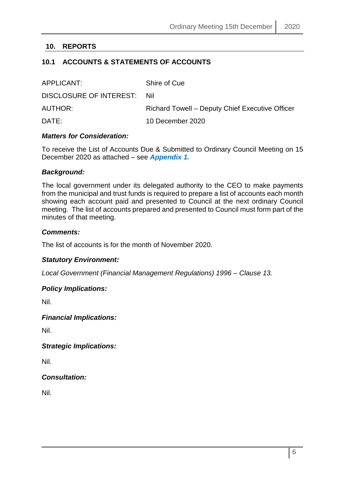# <span id="page-5-0"></span>**10. REPORTS**

# <span id="page-5-1"></span>**10.1 ACCOUNTS & STATEMENTS OF ACCOUNTS**

| APPLICANT:                  | Shire of Cue                                    |
|-----------------------------|-------------------------------------------------|
| DISCLOSURE OF INTEREST: Nil |                                                 |
| AUTHOR:                     | Richard Towell – Deputy Chief Executive Officer |
| DATE:                       | 10 December 2020                                |

#### *Matters for Consideration:*

To receive the List of Accounts Due & Submitted to Ordinary Council Meeting on 15 December 2020 as attached – see *Appendix 1.*

#### *Background:*

The local government under its delegated authority to the CEO to make payments from the municipal and trust funds is required to prepare a list of accounts each month showing each account paid and presented to Council at the next ordinary Council meeting. The list of accounts prepared and presented to Council must form part of the minutes of that meeting.

#### *Comments:*

The list of accounts is for the month of November 2020.

#### *Statutory Environment:*

*Local Government (Financial Management Regulations) 1996 – Clause 13.*

#### *Policy Implications:*

Nil.

#### *Financial Implications:*

Nil.

*Strategic Implications:*

Nil.

*Consultation:*

Nil.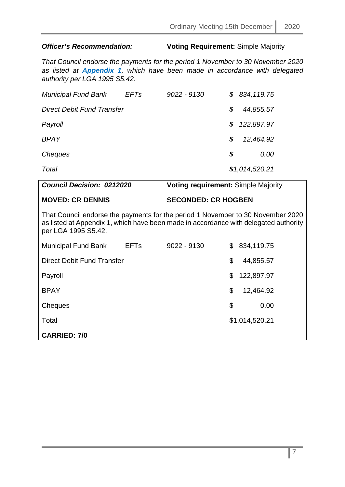# *Officer's Recommendation:* **Voting Requirement:** Simple Majority

*That Council endorse the payments for the period 1 November to 30 November 2020 as listed at Appendix 1, which have been made in accordance with delegated authority per LGA 1995 S5.42.*

| <b>Municipal Fund Bank</b> | <b>EFTs</b> | $9022 - 9130$ |    | \$834,119.75   |
|----------------------------|-------------|---------------|----|----------------|
| Direct Debit Fund Transfer |             |               | S  | 44,855.57      |
| Payroll                    |             |               | S. | 122,897.97     |
| <b>BPAY</b>                |             |               | S  | 12,464.92      |
| Cheques                    |             |               | S  | 0.00           |
| Total                      |             |               |    | \$1,014,520.21 |

| <b>Council Decision: 0212020</b>                                                                                                                                                               |             | <b>Voting requirement: Simple Majority</b> |                  |
|------------------------------------------------------------------------------------------------------------------------------------------------------------------------------------------------|-------------|--------------------------------------------|------------------|
| <b>MOVED: CR DENNIS</b>                                                                                                                                                                        |             | <b>SECONDED: CR HOGBEN</b>                 |                  |
| That Council endorse the payments for the period 1 November to 30 November 2020<br>as listed at Appendix 1, which have been made in accordance with delegated authority<br>per LGA 1995 S5.42. |             |                                            |                  |
| <b>Municipal Fund Bank</b>                                                                                                                                                                     | <b>EFTs</b> | $9022 - 9130$                              | \$<br>834,119.75 |
| Direct Debit Fund Transfer                                                                                                                                                                     |             |                                            | \$<br>44,855.57  |
| Payroll                                                                                                                                                                                        |             |                                            | \$<br>122,897.97 |
| <b>BPAY</b>                                                                                                                                                                                    |             |                                            | \$<br>12,464.92  |
| Cheques                                                                                                                                                                                        |             |                                            | \$<br>0.00       |
| Total                                                                                                                                                                                          |             |                                            | \$1,014,520.21   |
| <b>CARRIED: 7/0</b>                                                                                                                                                                            |             |                                            |                  |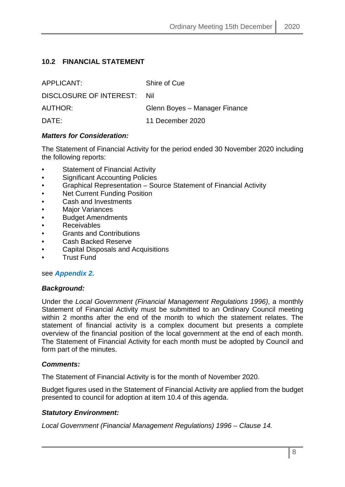# <span id="page-7-0"></span>**10.2 FINANCIAL STATEMENT**

| APPLICANT:              | Shire of Cue                  |
|-------------------------|-------------------------------|
| DISCLOSURE OF INTEREST: | Nil                           |
| AUTHOR:                 | Glenn Boyes - Manager Finance |
| DATE:                   | 11 December 2020              |

#### *Matters for Consideration:*

The Statement of Financial Activity for the period ended 30 November 2020 including the following reports:

- Statement of Financial Activity
- Significant Accounting Policies
- Graphical Representation Source Statement of Financial Activity
- **Net Current Funding Position**
- Cash and Investments
- **Major Variances**
- Budget Amendments
- Receivables
- Grants and Contributions
- Cash Backed Reserve
- Capital Disposals and Acquisitions
- Trust Fund

#### see *Appendix 2.*

#### *Background:*

Under the *Local Government (Financial Management Regulations 1996)*, a monthly Statement of Financial Activity must be submitted to an Ordinary Council meeting within 2 months after the end of the month to which the statement relates. The statement of financial activity is a complex document but presents a complete overview of the financial position of the local government at the end of each month. The Statement of Financial Activity for each month must be adopted by Council and form part of the minutes.

#### *Comments:*

The Statement of Financial Activity is for the month of November 2020.

Budget figures used in the Statement of Financial Activity are applied from the budget presented to council for adoption at item 10.4 of this agenda.

#### *Statutory Environment:*

*Local Government (Financial Management Regulations) 1996 – Clause 14.*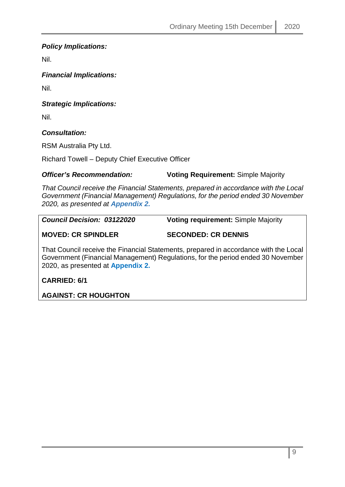*Policy Implications:*

Nil.

*Financial Implications:*

Nil.

*Strategic Implications:*

Nil.

*Consultation:*

RSM Australia Pty Ltd.

Richard Towell – Deputy Chief Executive Officer

# *Officer's Recommendation:* **Voting Requirement:** Simple Majority

*That Council receive the Financial Statements, prepared in accordance with the Local Government (Financial Management) Regulations, for the period ended 30 November 2020, as presented at Appendix 2.*

| <b>Council Decision: 03122020</b> | <b>Voting requirement: Simple Majority</b>                                           |
|-----------------------------------|--------------------------------------------------------------------------------------|
| <b>MOVED: CR SPINDLER</b>         | <b>SECONDED: CR DENNIS</b>                                                           |
|                                   | That Council receive the Financial Statements, prepared in accordance with the Local |

That Council receive the Financial Statements, prepared in accordance with the Local Government (Financial Management) Regulations, for the period ended 30 November 2020, as presented at **Appendix 2.**

**CARRIED: 6/1**

**AGAINST: CR HOUGHTON**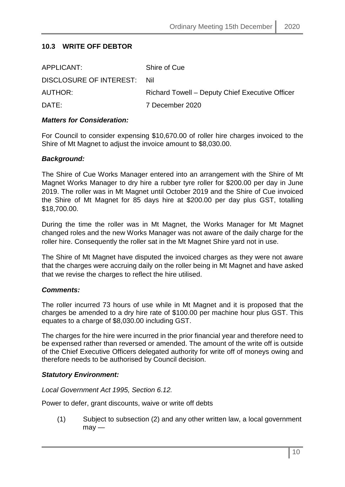# <span id="page-9-0"></span>**10.3 WRITE OFF DEBTOR**

| APPLICANT:                  | Shire of Cue                                    |
|-----------------------------|-------------------------------------------------|
| DISCLOSURE OF INTEREST: Nil |                                                 |
| AUTHOR:                     | Richard Towell – Deputy Chief Executive Officer |
| DATE:                       | 7 December 2020                                 |
|                             |                                                 |

#### *Matters for Consideration:*

For Council to consider expensing \$10,670.00 of roller hire charges invoiced to the Shire of Mt Magnet to adjust the invoice amount to \$8,030.00.

#### *Background:*

The Shire of Cue Works Manager entered into an arrangement with the Shire of Mt Magnet Works Manager to dry hire a rubber tyre roller for \$200.00 per day in June 2019. The roller was in Mt Magnet until October 2019 and the Shire of Cue invoiced the Shire of Mt Magnet for 85 days hire at \$200.00 per day plus GST, totalling \$18,700.00.

During the time the roller was in Mt Magnet, the Works Manager for Mt Magnet changed roles and the new Works Manager was not aware of the daily charge for the roller hire. Consequently the roller sat in the Mt Magnet Shire yard not in use.

The Shire of Mt Magnet have disputed the invoiced charges as they were not aware that the charges were accruing daily on the roller being in Mt Magnet and have asked that we revise the charges to reflect the hire utilised.

#### *Comments:*

The roller incurred 73 hours of use while in Mt Magnet and it is proposed that the charges be amended to a dry hire rate of \$100.00 per machine hour plus GST. This equates to a charge of \$8,030.00 including GST.

The charges for the hire were incurred in the prior financial year and therefore need to be expensed rather than reversed or amended. The amount of the write off is outside of the Chief Executive Officers delegated authority for write off of moneys owing and therefore needs to be authorised by Council decision.

#### *Statutory Environment:*

*Local Government Act 1995, Section 6.12.*

Power to defer, grant discounts, waive or write off debts

(1) Subject to subsection (2) and any other written law, a local government  $may -$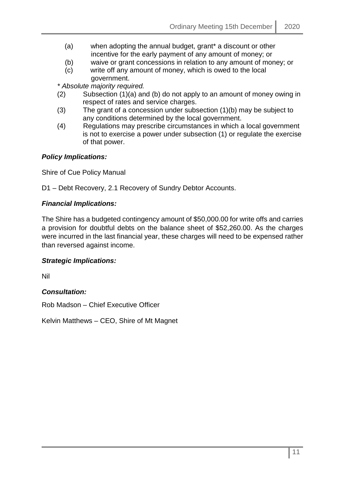- (a) when adopting the annual budget, grant\* a discount or other incentive for the early payment of any amount of money; or
- (b) waive or grant concessions in relation to any amount of money; or
- (c) write off any amount of money, which is owed to the local government.

*\* Absolute majority required.* 

- (2) Subsection (1)(a) and (b) do not apply to an amount of money owing in respect of rates and service charges.
- (3) The grant of a concession under subsection (1)(b) may be subject to any conditions determined by the local government.
- (4) Regulations may prescribe circumstances in which a local government is not to exercise a power under subsection (1) or regulate the exercise of that power.

### *Policy Implications:*

Shire of Cue Policy Manual

D1 – Debt Recovery, 2.1 Recovery of Sundry Debtor Accounts.

#### *Financial Implications:*

The Shire has a budgeted contingency amount of \$50,000.00 for write offs and carries a provision for doubtful debts on the balance sheet of \$52,260.00. As the charges were incurred in the last financial year, these charges will need to be expensed rather than reversed against income.

#### *Strategic Implications:*

Nil

#### *Consultation:*

Rob Madson – Chief Executive Officer

Kelvin Matthews – CEO, Shire of Mt Magnet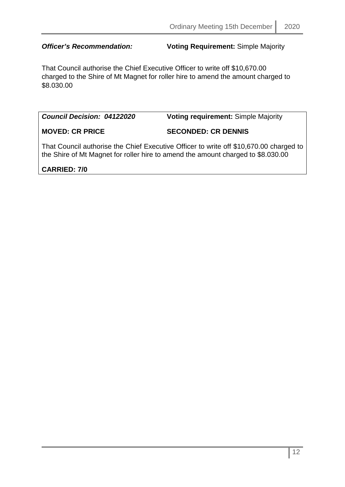*Officer's Recommendation:* **Voting Requirement:** Simple Majority

That Council authorise the Chief Executive Officer to write off \$10,670.00 charged to the Shire of Mt Magnet for roller hire to amend the amount charged to \$8.030.00

*Council Decision: 04122020* **Voting requirement:** Simple Majority

**MOVED: CR PRICE SECONDED: CR DENNIS**

That Council authorise the Chief Executive Officer to write off \$10,670.00 charged to the Shire of Mt Magnet for roller hire to amend the amount charged to \$8.030.00

# **CARRIED: 7/0**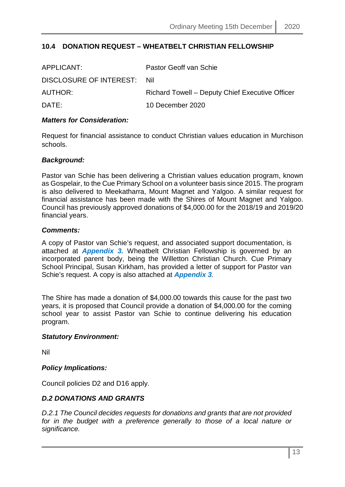# <span id="page-12-0"></span>**10.4 DONATION REQUEST – WHEATBELT CHRISTIAN FELLOWSHIP**

| APPLICANT:                  | Pastor Geoff van Schie                          |
|-----------------------------|-------------------------------------------------|
| DISCLOSURE OF INTEREST: Nil |                                                 |
| AUTHOR:                     | Richard Towell – Deputy Chief Executive Officer |
| DATE:                       | 10 December 2020                                |

#### *Matters for Consideration:*

Request for financial assistance to conduct Christian values education in Murchison schools.

#### *Background:*

Pastor van Schie has been delivering a Christian values education program, known as Gospelair, to the Cue Primary School on a volunteer basis since 2015. The program is also delivered to Meekatharra, Mount Magnet and Yalgoo. A similar request for financial assistance has been made with the Shires of Mount Magnet and Yalgoo. Council has previously approved donations of \$4,000.00 for the 2018/19 and 2019/20 financial years.

#### *Comments:*

A copy of Pastor van Schie's request, and associated support documentation, is attached at *Appendix 3.* Wheatbelt Christian Fellowship is governed by an incorporated parent body, being the Willetton Christian Church. Cue Primary School Principal, Susan Kirkham, has provided a letter of support for Pastor van Schie's request. A copy is also attached at *Appendix 3.*

The Shire has made a donation of \$4,000.00 towards this cause for the past two years, it is proposed that Council provide a donation of \$4,000.00 for the coming school year to assist Pastor van Schie to continue delivering his education program.

#### *Statutory Environment:*

Nil

#### *Policy Implications:*

Council policies D2 and D16 apply.

#### *D.2 DONATIONS AND GRANTS*

*D.2.1 The Council decides requests for donations and grants that are not provided*  for in the budget with a preference generally to those of a local nature or *significance.*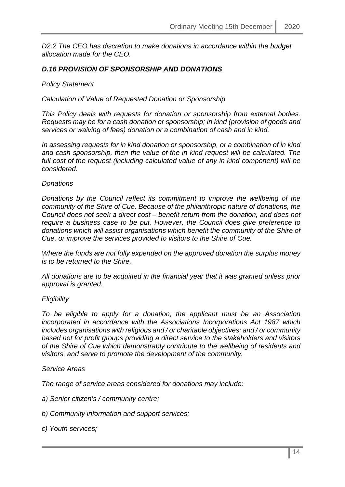*D2.2 The CEO has discretion to make donations in accordance within the budget allocation made for the CEO.*

### *D.16 PROVISION OF SPONSORSHIP AND DONATIONS*

#### *Policy Statement*

*Calculation of Value of Requested Donation or Sponsorship*

*This Policy deals with requests for donation or sponsorship from external bodies. Requests may be for a cash donation or sponsorship; in kind (provision of goods and services or waiving of fees) donation or a combination of cash and in kind.*

*In assessing requests for in kind donation or sponsorship, or a combination of in kind and cash sponsorship, then the value of the in kind request will be calculated. The full cost of the request (including calculated value of any in kind component) will be considered.*

#### *Donations*

*Donations by the Council reflect its commitment to improve the wellbeing of the community of the Shire of Cue. Because of the philanthropic nature of donations, the Council does not seek a direct cost – benefit return from the donation, and does not require a business case to be put. However, the Council does give preference to donations which will assist organisations which benefit the community of the Shire of Cue, or improve the services provided to visitors to the Shire of Cue.*

*Where the funds are not fully expended on the approved donation the surplus money is to be returned to the Shire.*

*All donations are to be acquitted in the financial year that it was granted unless prior approval is granted.*

#### *Eligibility*

*To be eligible to apply for a donation, the applicant must be an Association incorporated in accordance with the Associations Incorporations Act 1987 which includes organisations with religious and / or charitable objectives; and / or community based not for profit groups providing a direct service to the stakeholders and visitors of the Shire of Cue which demonstrably contribute to the wellbeing of residents and visitors, and serve to promote the development of the community.*

#### *Service Areas*

*The range of service areas considered for donations may include:*

*a) Senior citizen's / community centre;*

- *b) Community information and support services;*
- *c) Youth services;*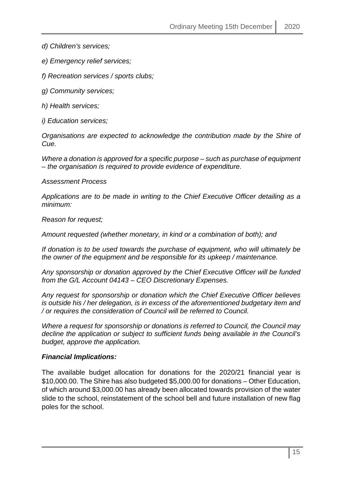*d) Children's services;*

*e) Emergency relief services;*

*f) Recreation services / sports clubs;*

*g) Community services;*

*h) Health services;*

*i) Education services;*

*Organisations are expected to acknowledge the contribution made by the Shire of Cue.*

*Where a donation is approved for a specific purpose – such as purchase of equipment – the organisation is required to provide evidence of expenditure.*

*Assessment Process*

*Applications are to be made in writing to the Chief Executive Officer detailing as a minimum:*

*Reason for request;*

*Amount requested (whether monetary, in kind or a combination of both); and*

*If donation is to be used towards the purchase of equipment, who will ultimately be the owner of the equipment and be responsible for its upkeep / maintenance.*

*Any sponsorship or donation approved by the Chief Executive Officer will be funded from the G/L Account 04143 – CEO Discretionary Expenses.*

*Any request for sponsorship or donation which the Chief Executive Officer believes is outside his / her delegation, is in excess of the aforementioned budgetary item and / or requires the consideration of Council will be referred to Council.*

*Where a request for sponsorship or donations is referred to Council, the Council may decline the application or subject to sufficient funds being available in the Council's budget, approve the application.*

#### *Financial Implications:*

The available budget allocation for donations for the 2020/21 financial year is \$10,000.00. The Shire has also budgeted \$5,000.00 for donations – Other Education, of which around \$3,000.00 has already been allocated towards provision of the water slide to the school, reinstatement of the school bell and future installation of new flag poles for the school.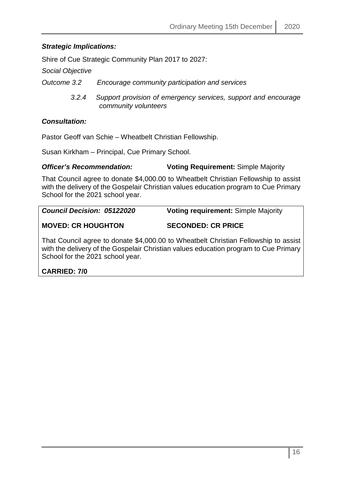# *Strategic Implications:*

Shire of Cue Strategic Community Plan 2017 to 2027:

*Social Objective*

*Outcome 3.2 Encourage community participation and services*

 *3.2.4 Support provision of emergency services, support and encourage community volunteers*

# *Consultation:*

Pastor Geoff van Schie – Wheatbelt Christian Fellowship.

Susan Kirkham – Principal, Cue Primary School.

### *Officer's Recommendation:* **Voting Requirement:** Simple Majority

That Council agree to donate \$4,000.00 to Wheatbelt Christian Fellowship to assist with the delivery of the Gospelair Christian values education program to Cue Primary School for the 2021 school year.

| <b>Council Decision: 05122020</b> | <b>Voting requirement: Simple Majority</b>                                        |
|-----------------------------------|-----------------------------------------------------------------------------------|
| <b>MOVED: CR HOUGHTON</b>         | <b>SECONDED: CR PRICE</b>                                                         |
|                                   | That Cauneil eares to denote \$4,000,00 to Wheethalt Christian Esllewabin to essi |

That Council agree to donate \$4,000.00 to Wheatbelt Christian Fellowship to assist with the delivery of the Gospelair Christian values education program to Cue Primary School for the 2021 school year.

# **CARRIED: 7/0**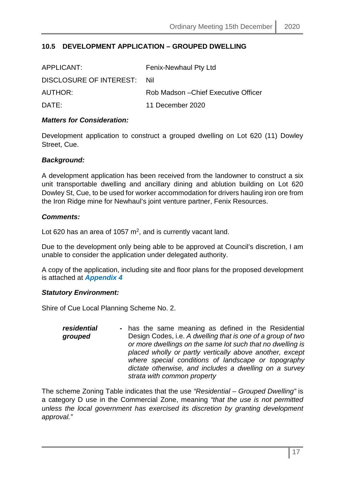# <span id="page-16-0"></span>**10.5 DEVELOPMENT APPLICATION – GROUPED DWELLING**

| APPLICANT:              | Fenix-Newhaul Pty Ltd                |
|-------------------------|--------------------------------------|
| DISCLOSURE OF INTEREST: | -Nil                                 |
| AUTHOR:                 | Rob Madson – Chief Executive Officer |
| DATF:                   | 11 December 2020                     |

#### *Matters for Consideration:*

Development application to construct a grouped dwelling on Lot 620 (11) Dowley Street, Cue.

#### *Background:*

A development application has been received from the landowner to construct a six unit transportable dwelling and ancillary dining and ablution building on Lot 620 Dowley St, Cue, to be used for worker accommodation for drivers hauling iron ore from the Iron Ridge mine for Newhaul's joint venture partner, Fenix Resources.

#### *Comments:*

Lot 620 has an area of 1057  $m^2$ , and is currently vacant land.

Due to the development only being able to be approved at Council's discretion, I am unable to consider the application under delegated authority.

A copy of the application, including site and floor plans for the proposed development is attached at *Appendix 4*

#### *Statutory Environment:*

Shire of Cue Local Planning Scheme No. 2.

*residential grouped* - has the same meaning as defined in the Residential Design Codes, i.e. *A dwelling that is one of a group of two or more dwellings on the same lot such that no dwelling is placed wholly or partly vertically above another, except where special conditions of landscape or topography dictate otherwise, and includes a dwelling on a survey strata with common property*

The scheme Zoning Table indicates that the use *"Residential – Grouped Dwelling"* is a category D use in the Commercial Zone, meaning *"that the use is not permitted unless the local government has exercised its discretion by granting development approval."*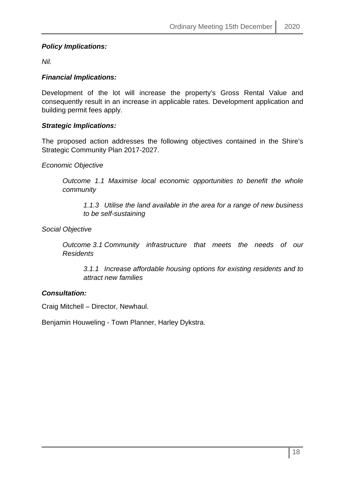# *Policy Implications:*

*Nil.*

# *Financial Implications:*

Development of the lot will increase the property's Gross Rental Value and consequently result in an increase in applicable rates. Development application and building permit fees apply.

# *Strategic Implications:*

The proposed action addresses the following objectives contained in the Shire's Strategic Community Plan 2017-2027.

### *Economic Objective*

*Outcome 1.1 Maximise local economic opportunities to benefit the whole community*

*1.1.3 Utilise the land available in the area for a range of new business to be self-sustaining*

*Social Objective*

*Outcome 3.1 Community infrastructure that meets the needs of our Residents*

*3.1.1 Increase affordable housing options for existing residents and to attract new families*

# *Consultation:*

Craig Mitchell – Director, Newhaul.

Benjamin Houweling - Town Planner, Harley Dykstra.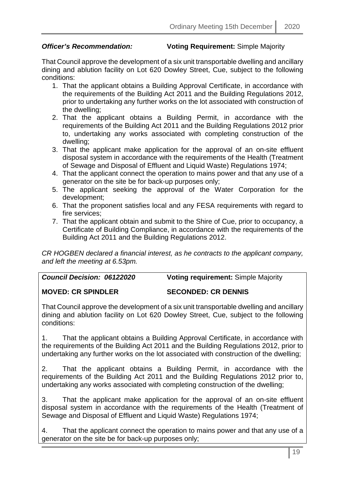### *Officer's Recommendation:* **Voting Requirement: Simple Majority**

That Council approve the development of a six unit transportable dwelling and ancillary dining and ablution facility on Lot 620 Dowley Street, Cue, subject to the following conditions:

- 1. That the applicant obtains a Building Approval Certificate, in accordance with the requirements of the Building Act 2011 and the Building Regulations 2012, prior to undertaking any further works on the lot associated with construction of the dwelling;
- 2. That the applicant obtains a Building Permit, in accordance with the requirements of the Building Act 2011 and the Building Regulations 2012 prior to, undertaking any works associated with completing construction of the dwelling;
- 3. That the applicant make application for the approval of an on-site effluent disposal system in accordance with the requirements of the Health (Treatment of Sewage and Disposal of Effluent and Liquid Waste) Regulations 1974;
- 4. That the applicant connect the operation to mains power and that any use of a generator on the site be for back-up purposes only;
- 5. The applicant seeking the approval of the Water Corporation for the development;
- 6. That the proponent satisfies local and any FESA requirements with regard to fire services;
- 7. That the applicant obtain and submit to the Shire of Cue, prior to occupancy, a Certificate of Building Compliance, in accordance with the requirements of the Building Act 2011 and the Building Regulations 2012.

*CR HOGBEN declared a financial interest, as he contracts to the applicant company, and left the meeting at 6.53pm.*

| <b>Council Decision: 06122020</b> | <b>Voting requirement: Simple Majority</b> |
|-----------------------------------|--------------------------------------------|
|-----------------------------------|--------------------------------------------|

#### **MOVED: CR SPINDLER SECONDED: CR DENNIS**

That Council approve the development of a six unit transportable dwelling and ancillary dining and ablution facility on Lot 620 Dowley Street, Cue, subject to the following conditions:

1. That the applicant obtains a Building Approval Certificate, in accordance with the requirements of the Building Act 2011 and the Building Regulations 2012, prior to undertaking any further works on the lot associated with construction of the dwelling;

2. That the applicant obtains a Building Permit, in accordance with the requirements of the Building Act 2011 and the Building Regulations 2012 prior to, undertaking any works associated with completing construction of the dwelling;

3. That the applicant make application for the approval of an on-site effluent disposal system in accordance with the requirements of the Health (Treatment of Sewage and Disposal of Effluent and Liquid Waste) Regulations 1974;

4. That the applicant connect the operation to mains power and that any use of a generator on the site be for back-up purposes only;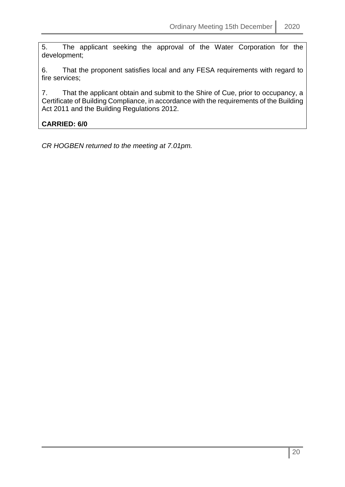5. The applicant seeking the approval of the Water Corporation for the development;

6. That the proponent satisfies local and any FESA requirements with regard to fire services;

7. That the applicant obtain and submit to the Shire of Cue, prior to occupancy, a Certificate of Building Compliance, in accordance with the requirements of the Building Act 2011 and the Building Regulations 2012.

# **CARRIED: 6/0**

*CR HOGBEN returned to the meeting at 7.01pm.*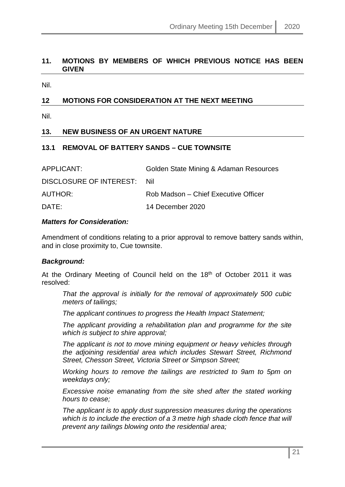### <span id="page-20-0"></span>**11. MOTIONS BY MEMBERS OF WHICH PREVIOUS NOTICE HAS BEEN GIVEN**

Nil.

# <span id="page-20-1"></span>**12 MOTIONS FOR CONSIDERATION AT THE NEXT MEETING**

Nil.

# <span id="page-20-2"></span>**13. NEW BUSINESS OF AN URGENT NATURE**

### <span id="page-20-3"></span>**13.1 REMOVAL OF BATTERY SANDS – CUE TOWNSITE**

| APPLICANT:                  | Golden State Mining & Adaman Resources |
|-----------------------------|----------------------------------------|
| DISCLOSURE OF INTEREST: Nil |                                        |
| <b>AUTHOR:</b>              | Rob Madson – Chief Executive Officer   |
| DATE:                       | 14 December 2020                       |

#### *Matters for Consideration:*

Amendment of conditions relating to a prior approval to remove battery sands within, and in close proximity to, Cue townsite.

#### *Background:*

At the Ordinary Meeting of Council held on the 18<sup>th</sup> of October 2011 it was resolved:

*That the approval is initially for the removal of approximately 500 cubic meters of tailings;* 

*The applicant continues to progress the Health Impact Statement;* 

*The applicant providing a rehabilitation plan and programme for the site which is subject to shire approval;* 

*The applicant is not to move mining equipment or heavy vehicles through the adjoining residential area which includes Stewart Street, Richmond Street, Chesson Street, Victoria Street or Simpson Street;* 

*Working hours to remove the tailings are restricted to 9am to 5pm on weekdays only;* 

*Excessive noise emanating from the site shed after the stated working hours to cease;* 

*The applicant is to apply dust suppression measures during the operations*  which is to include the erection of a 3 metre high shade cloth fence that will *prevent any tailings blowing onto the residential area;*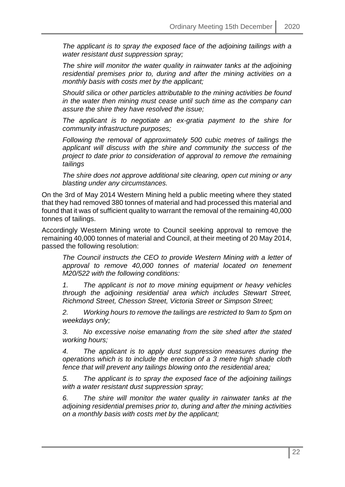*The applicant is to spray the exposed face of the adjoining tailings with a water resistant dust suppression spray;* 

*The shire will monitor the water quality in rainwater tanks at the adjoining residential premises prior to, during and after the mining activities on a monthly basis with costs met by the applicant;* 

*Should silica or other particles attributable to the mining activities be found in the water then mining must cease until such time as the company can assure the shire they have resolved the issue;* 

*The applicant is to negotiate an ex-gratia payment to the shire for community infrastructure purposes;* 

*Following the removal of approximately 500 cubic metres of tailings the applicant will discuss with the shire and community the success of the project to date prior to consideration of approval to remove the remaining tailings* 

*The shire does not approve additional site clearing, open cut mining or any blasting under any circumstances.*

On the 3rd of May 2014 Western Mining held a public meeting where they stated that they had removed 380 tonnes of material and had processed this material and found that it was of sufficient quality to warrant the removal of the remaining 40,000 tonnes of tailings.

Accordingly Western Mining wrote to Council seeking approval to remove the remaining 40,000 tonnes of material and Council, at their meeting of 20 May 2014, passed the following resolution:

*The Council instructs the CEO to provide Western Mining with a letter of approval to remove 40,000 tonnes of material located on tenement M20/522 with the following conditions:*

*1. The applicant is not to move mining equipment or heavy vehicles through the adjoining residential area which includes Stewart Street, Richmond Street, Chesson Street, Victoria Street or Simpson Street;* 

*2. Working hours to remove the tailings are restricted to 9am to 5pm on weekdays only;* 

*3. No excessive noise emanating from the site shed after the stated working hours;*

*4. The applicant is to apply dust suppression measures during the operations which is to include the erection of a 3 metre high shade cloth fence that will prevent any tailings blowing onto the residential area;* 

*5. The applicant is to spray the exposed face of the adjoining tailings with a water resistant dust suppression spray;* 

*6. The shire will monitor the water quality in rainwater tanks at the adjoining residential premises prior to, during and after the mining activities on a monthly basis with costs met by the applicant;*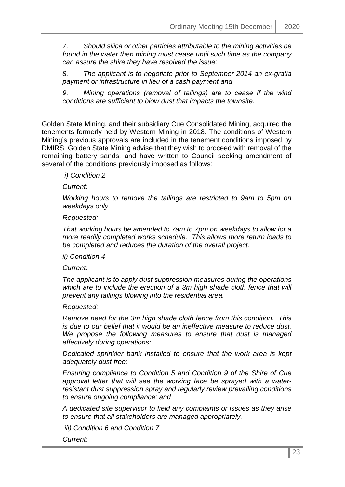*7. Should silica or other particles attributable to the mining activities be found in the water then mining must cease until such time as the company can assure the shire they have resolved the issue;* 

*8. The applicant is to negotiate prior to September 2014 an ex-gratia payment or infrastructure in lieu of a cash payment and* 

*9. Mining operations (removal of tailings) are to cease if the wind conditions are sufficient to blow dust that impacts the townsite.*

Golden State Mining, and their subsidiary Cue Consolidated Mining, acquired the tenements formerly held by Western Mining in 2018. The conditions of Western Mining's previous approvals are included in the tenement conditions imposed by DMIRS. Golden State Mining advise that they wish to proceed with removal of the remaining battery sands, and have written to Council seeking amendment of several of the conditions previously imposed as follows:

*i) Condition 2* 

*Current:* 

*Working hours to remove the tailings are restricted to 9am to 5pm on weekdays only.* 

*Requested:* 

*That working hours be amended to 7am to 7pm on weekdays to allow for a more readily completed works schedule. This allows more return loads to be completed and reduces the duration of the overall project.* 

*ii) Condition 4* 

*Current:* 

*The applicant is to apply dust suppression measures during the operations which are to include the erection of a 3m high shade cloth fence that will prevent any tailings blowing into the residential area.* 

*Requested:* 

*Remove need for the 3m high shade cloth fence from this condition. This is due to our belief that it would be an ineffective measure to reduce dust. We propose the following measures to ensure that dust is managed effectively during operations:* 

*Dedicated sprinkler bank installed to ensure that the work area is kept adequately dust free;* 

*Ensuring compliance to Condition 5 and Condition 9 of the Shire of Cue approval letter that will see the working face be sprayed with a waterresistant dust suppression spray and regularly review prevailing conditions to ensure ongoing compliance; and* 

*A dedicated site supervisor to field any complaints or issues as they arise to ensure that all stakeholders are managed appropriately.* 

*iii) Condition 6 and Condition 7* 

*Current:*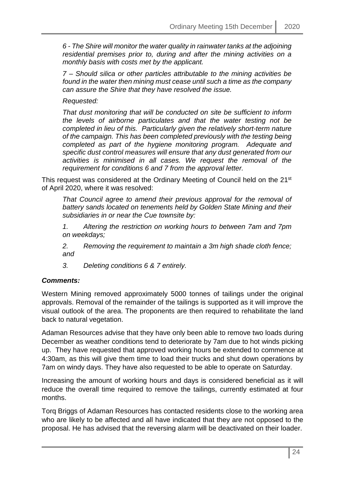*6 - The Shire will monitor the water quality in rainwater tanks at the adjoining residential premises prior to, during and after the mining activities on a monthly basis with costs met by the applicant.* 

*7 – Should silica or other particles attributable to the mining activities be found in the water then mining must cease until such a time as the company can assure the Shire that they have resolved the issue.* 

*Requested:* 

*That dust monitoring that will be conducted on site be sufficient to inform the levels of airborne particulates and that the water testing not be completed in lieu of this. Particularly given the relatively short-term nature of the campaign. This has been completed previously with the testing being completed as part of the hygiene monitoring program. Adequate and specific dust control measures will ensure that any dust generated from our activities is minimised in all cases. We request the removal of the requirement for conditions 6 and 7 from the approval letter.* 

This request was considered at the Ordinary Meeting of Council held on the 21<sup>st</sup> of April 2020, where it was resolved:

*That Council agree to amend their previous approval for the removal of battery sands located on tenements held by Golden State Mining and their subsidiaries in or near the Cue townsite by:*

*1. Altering the restriction on working hours to between 7am and 7pm on weekdays;*

*2. Removing the requirement to maintain a 3m high shade cloth fence; and*

*3. Deleting conditions 6 & 7 entirely.*

#### *Comments:*

Western Mining removed approximately 5000 tonnes of tailings under the original approvals. Removal of the remainder of the tailings is supported as it will improve the visual outlook of the area. The proponents are then required to rehabilitate the land back to natural vegetation.

Adaman Resources advise that they have only been able to remove two loads during December as weather conditions tend to deteriorate by 7am due to hot winds picking up. They have requested that approved working hours be extended to commence at 4:30am, as this will give them time to load their trucks and shut down operations by 7am on windy days. They have also requested to be able to operate on Saturday.

Increasing the amount of working hours and days is considered beneficial as it will reduce the overall time required to remove the tailings, currently estimated at four months.

Torq Briggs of Adaman Resources has contacted residents close to the working area who are likely to be affected and all have indicated that they are not opposed to the proposal. He has advised that the reversing alarm will be deactivated on their loader.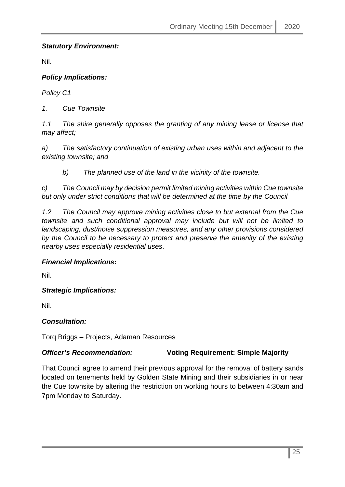# *Statutory Environment:*

Nil.

# *Policy Implications:*

*Policy C1*

*1. Cue Townsite*

*1.1 The shire generally opposes the granting of any mining lease or license that may affect;*

*a) The satisfactory continuation of existing urban uses within and adjacent to the existing townsite; and*

*b) The planned use of the land in the vicinity of the townsite.* 

*c) The Council may by decision permit limited mining activities within Cue townsite but only under strict conditions that will be determined at the time by the Council*

*1.2 The Council may approve mining activities close to but external from the Cue townsite and such conditional approval may include but will not be limited to landscaping, dust/noise suppression measures, and any other provisions considered by the Council to be necessary to protect and preserve the amenity of the existing nearby uses especially residential uses*.

# *Financial Implications:*

Nil.

*Strategic Implications:*

Nil.

# *Consultation:*

Torq Briggs – Projects, Adaman Resources

# *Officer's Recommendation:* **Voting Requirement: Simple Majority**

That Council agree to amend their previous approval for the removal of battery sands located on tenements held by Golden State Mining and their subsidiaries in or near the Cue townsite by altering the restriction on working hours to between 4:30am and 7pm Monday to Saturday.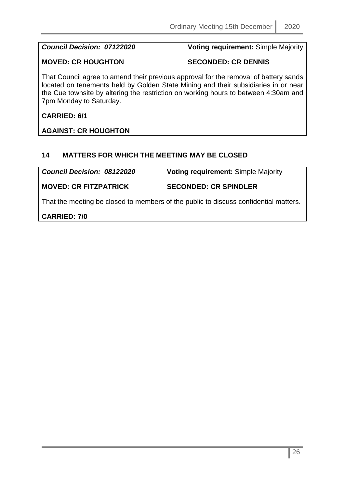*Council Decision: 07122020* **Voting requirement:** Simple Majority

# **MOVED: CR HOUGHTON SECONDED: CR DENNIS**

That Council agree to amend their previous approval for the removal of battery sands located on tenements held by Golden State Mining and their subsidiaries in or near the Cue townsite by altering the restriction on working hours to between 4:30am and 7pm Monday to Saturday.

**CARRIED: 6/1**

**AGAINST: CR HOUGHTON**

# <span id="page-25-0"></span>**14 MATTERS FOR WHICH THE MEETING MAY BE CLOSED**

*Council Decision: 08122020* **Voting requirement:** Simple Majority

**MOVED: CR FITZPATRICK SECONDED: CR SPINDLER**

That the meeting be closed to members of the public to discuss confidential matters.

**CARRIED: 7/0**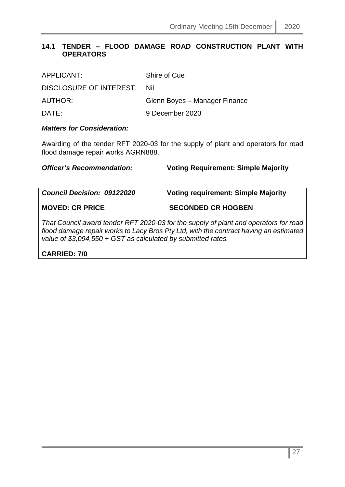# <span id="page-26-0"></span>**14.1 TENDER – FLOOD DAMAGE ROAD CONSTRUCTION PLANT WITH OPERATORS**

| APPLICANT:              | Shire of Cue                  |
|-------------------------|-------------------------------|
| DISCLOSURE OF INTEREST: | . Nil                         |
| AUTHOR:                 | Glenn Boyes - Manager Finance |
| DATE:                   | 9 December 2020               |

#### *Matters for Consideration:*

Awarding of the tender RFT 2020-03 for the supply of plant and operators for road flood damage repair works AGRN888.

*Officer's Recommendation:* **Voting Requirement: Simple Majority**

*Council Decision: 09122020* **Voting requirement: Simple Majority MOVED: CR PRICE SECONDED CR HOGBEN** *That Council award tender RFT 2020-03 for the supply of plant and operators for road flood damage repair works to Lacy Bros Pty Ltd, with the contract having an estimated value of \$3,094,550 + GST as calculated by submitted rates.*

**CARRIED: 7/0**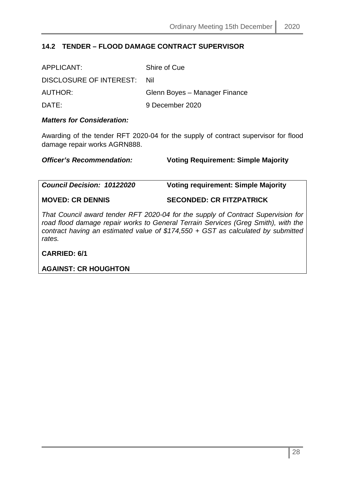# <span id="page-27-0"></span>**14.2 TENDER – FLOOD DAMAGE CONTRACT SUPERVISOR**

| APPLICANT:                  | Shire of Cue                  |
|-----------------------------|-------------------------------|
| DISCLOSURE OF INTEREST: Nil |                               |
| AUTHOR:                     | Glenn Boyes - Manager Finance |
| DATE:                       | 9 December 2020               |

#### *Matters for Consideration:*

Awarding of the tender RFT 2020-04 for the supply of contract supervisor for flood damage repair works AGRN888.

*Officer's Recommendation:* **Voting Requirement: Simple Majority**

*Council Decision: 10122020* **Voting requirement: Simple Majority**

**MOVED: CR DENNIS SECONDED: CR FITZPATRICK**

*That Council award tender RFT 2020-04 for the supply of Contract Supervision for road flood damage repair works to General Terrain Services (Greg Smith), with the contract having an estimated value of \$174,550 + GST as calculated by submitted rates.*

**CARRIED: 6/1**

**AGAINST: CR HOUGHTON**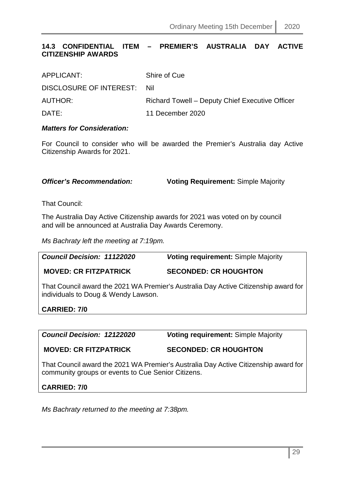# <span id="page-28-0"></span>**14.3 CONFIDENTIAL ITEM – PREMIER'S AUSTRALIA DAY ACTIVE CITIZENSHIP AWARDS**

| APPLICANT:                  | Shire of Cue                                    |
|-----------------------------|-------------------------------------------------|
| DISCLOSURE OF INTEREST: Nil |                                                 |
| AUTHOR:                     | Richard Towell – Deputy Chief Executive Officer |
| DATE:                       | 11 December 2020                                |

#### *Matters for Consideration:*

For Council to consider who will be awarded the Premier's Australia day Active Citizenship Awards for 2021.

*Officer's Recommendation:* **Voting Requirement: Simple Majority** 

That Council:

The Australia Day Active Citizenship awards for 2021 was voted on by council and will be announced at Australia Day Awards Ceremony.

*Ms Bachraty left the meeting at 7:19pm.*

*Council Decision: 11122020 V***oting requirement:** Simple Majority **MOVED: CR FITZPATRICK SECONDED: CR HOUGHTON**

That Council award the 2021 WA Premier's Australia Day Active Citizenship award for individuals to Doug & Wendy Lawson.

**CARRIED: 7/0** 

*Council Decision: 12122020 V***oting requirement:** Simple Majority

**MOVED: CR FITZPATRICK SECONDED: CR HOUGHTON**

That Council award the 2021 WA Premier's Australia Day Active Citizenship award for community groups or events to Cue Senior Citizens.

#### **CARRIED: 7/0**

*Ms Bachraty returned to the meeting at 7:38pm.*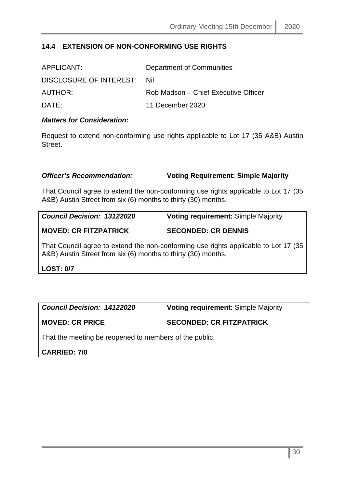# <span id="page-29-0"></span>**14.4 EXTENSION OF NON-CONFORMING USE RIGHTS**

| APPLICANT:              | Department of Communities            |
|-------------------------|--------------------------------------|
| DISCLOSURE OF INTEREST: | - Nil                                |
| AUTHOR:                 | Rob Madson – Chief Executive Officer |
| DATF:                   | 11 December 2020                     |

#### *Matters for Consideration:*

Request to extend non-conforming use rights applicable to Lot 17 (35 A&B) Austin Street.

#### *Officer's Recommendation:* **Voting Requirement: Simple Majority**

That Council agree to extend the non-conforming use rights applicable to Lot 17 (35 A&B) Austin Street from six (6) months to thirty (30) months.

*Council Decision: 13122020* **Voting requirement:** Simple Majority

**MOVED: CR FITZPATRICK SECONDED: CR DENNIS**

That Council agree to extend the non-conforming use rights applicable to Lot 17 (35 A&B) Austin Street from six (6) months to thirty (30) months.

**LOST: 0/7**

*Council Decision: 14122020* **Voting requirement:** Simple Majority

**MOVED: CR PRICE SECONDED: CR FITZPATRICK**

That the meeting be reopened to members of the public.

**CARRIED: 7/0**